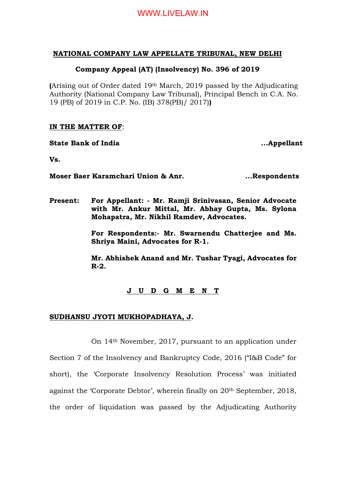# **NATIONAL COMPANY LAW APPELLATE TRIBUNAL, NEW DELHI**

# **Company Appeal (AT) (Insolvency) No. 396 of 2019**

**(**Arising out of Order dated 19th March, 2019 passed by the Adjudicating Authority (National Company Law Tribunal), Principal Bench in C.A. No. 19 (PB) of 2019 in C.P. No. (IB) 378(PB)/ 2017)**)**

## **IN THE MATTER OF**:

**State Bank of India 2008 1998 10:33 10:45 10:45 10:45 10:45 10:45 10:45 10:45 10:45 10:45 10:45 10:45 10:45 10:45 10:45 10:45 10:45 10:45 10:45 10:45 10:45 10:45 10:45 10:45 10:45 10:45 10:45 10:45 10:45 10:45 10:45 10:45** 

**Vs.**

**Moser Baer Karamchari Union & Anr.** ... Respondents

**Present: For Appellant: - Mr. Ramji Srinivasan, Senior Advocate with Mr. Ankur Mittal, Mr. Abhay Gupta, Ms. Sylona Mohapatra, Mr. Nikhil Ramdev, Advocates.**

> **For Respondents:- Mr. Swarnendu Chatterjee and Ms. Shriya Maini, Advocates for R-1.**

> **Mr. Abhishek Anand and Mr. Tushar Tyagi, Advocates for R-2.**

# **J U D G M E N T**

# **SUDHANSU JYOTI MUKHOPADHAYA, J.**

On 14th November, 2017, pursuant to an application under Section 7 of the Insolvency and Bankruptcy Code, 2016 ("I&B Code" for short), the 'Corporate Insolvency Resolution Process' was initiated against the 'Corporate Debtor', wherein finally on 20th September, 2018, the order of liquidation was passed by the Adjudicating Authority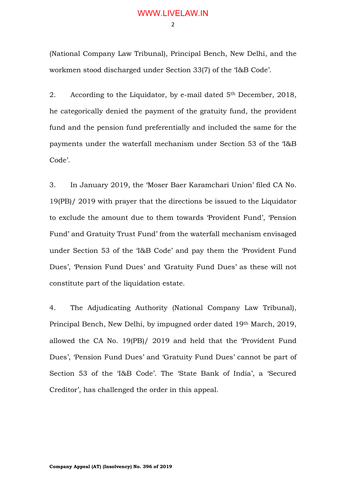(National Company Law Tribunal), Principal Bench, New Delhi, and the workmen stood discharged under Section 33(7) of the 'I&B Code'.

2. According to the Liquidator, by e-mail dated 5<sup>th</sup> December, 2018, he categorically denied the payment of the gratuity fund, the provident fund and the pension fund preferentially and included the same for the payments under the waterfall mechanism under Section 53 of the 'I&B Code'.

3. In January 2019, the 'Moser Baer Karamchari Union' filed CA No. 19(PB)/ 2019 with prayer that the directions be issued to the Liquidator to exclude the amount due to them towards 'Provident Fund', 'Pension Fund' and Gratuity Trust Fund' from the waterfall mechanism envisaged under Section 53 of the 'I&B Code' and pay them the 'Provident Fund Dues', 'Pension Fund Dues' and 'Gratuity Fund Dues' as these will not constitute part of the liquidation estate.

4. The Adjudicating Authority (National Company Law Tribunal), Principal Bench, New Delhi, by impugned order dated 19th March, 2019, allowed the CA No. 19(PB)/ 2019 and held that the 'Provident Fund Dues', 'Pension Fund Dues' and 'Gratuity Fund Dues' cannot be part of Section 53 of the 'I&B Code'. The 'State Bank of India', a 'Secured Creditor', has challenged the order in this appeal.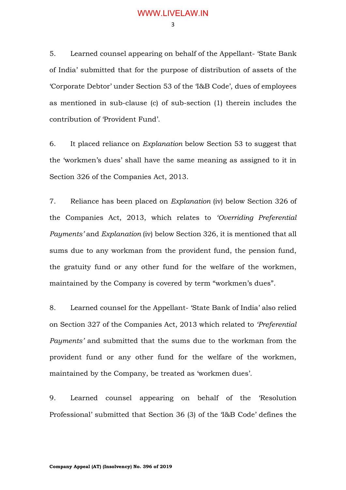5. Learned counsel appearing on behalf of the Appellant- 'State Bank of India' submitted that for the purpose of distribution of assets of the 'Corporate Debtor' under Section 53 of the 'I&B Code', dues of employees as mentioned in sub-clause (c) of sub-section (1) therein includes the contribution of 'Provident Fund'.

6. It placed reliance on *Explanation* below Section 53 to suggest that the 'workmen's dues' shall have the same meaning as assigned to it in Section 326 of the Companies Act, 2013.

7. Reliance has been placed on *Explanation* (iv) below Section 326 of the Companies Act, 2013, which relates to *'Overriding Preferential Payments'* and *Explanation* (iv) below Section 326, it is mentioned that all sums due to any workman from the provident fund, the pension fund, the gratuity fund or any other fund for the welfare of the workmen, maintained by the Company is covered by term "workmen's dues".

8. Learned counsel for the Appellant- 'State Bank of India' also relied on Section 327 of the Companies Act, 2013 which related to *'Preferential Payments'* and submitted that the sums due to the workman from the provident fund or any other fund for the welfare of the workmen, maintained by the Company, be treated as 'workmen dues'.

9. Learned counsel appearing on behalf of the 'Resolution Professional' submitted that Section 36 (3) of the 'I&B Code' defines the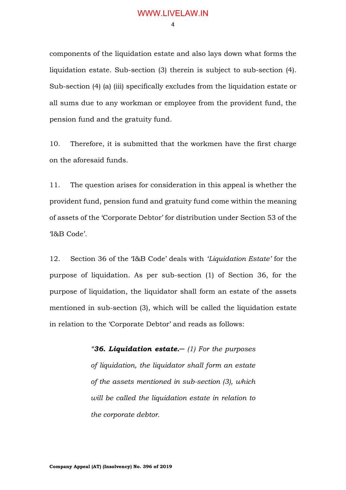4

components of the liquidation estate and also lays down what forms the liquidation estate. Sub-section (3) therein is subject to sub-section (4). Sub-section (4) (a) (iii) specifically excludes from the liquidation estate or all sums due to any workman or employee from the provident fund, the pension fund and the gratuity fund.

10. Therefore, it is submitted that the workmen have the first charge on the aforesaid funds.

11. The question arises for consideration in this appeal is whether the provident fund, pension fund and gratuity fund come within the meaning of assets of the 'Corporate Debtor' for distribution under Section 53 of the 'I&B Code'.

12. Section 36 of the 'I&B Code' deals with *'Liquidation Estate'* for the purpose of liquidation. As per sub-section (1) of Section 36, for the purpose of liquidation, the liquidator shall form an estate of the assets mentioned in sub-section (3), which will be called the liquidation estate in relation to the 'Corporate Debtor' and reads as follows:

> *"36. Liquidation estate.─ (1) For the purposes of liquidation, the liquidator shall form an estate of the assets mentioned in sub-section (3), which will be called the liquidation estate in relation to the corporate debtor.*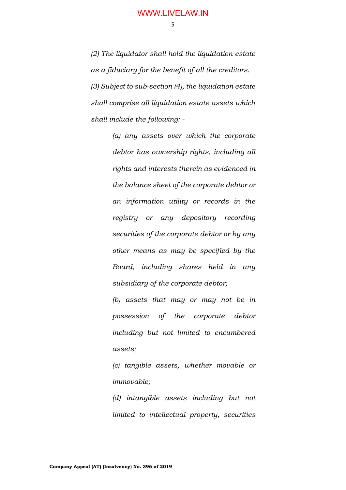5

*(2) The liquidator shall hold the liquidation estate as a fiduciary for the benefit of all the creditors. (3) Subject to sub-section (4), the liquidation estate shall comprise all liquidation estate assets which shall include the following: -*

> *(a) any assets over which the corporate debtor has ownership rights, including all rights and interests therein as evidenced in the balance sheet of the corporate debtor or an information utility or records in the registry or any depository recording securities of the corporate debtor or by any other means as may be specified by the Board, including shares held in any subsidiary of the corporate debtor;*

> *(b) assets that may or may not be in possession of the corporate debtor including but not limited to encumbered assets;*

> *(c) tangible assets, whether movable or immovable;*

> *(d) intangible assets including but not limited to intellectual property, securities*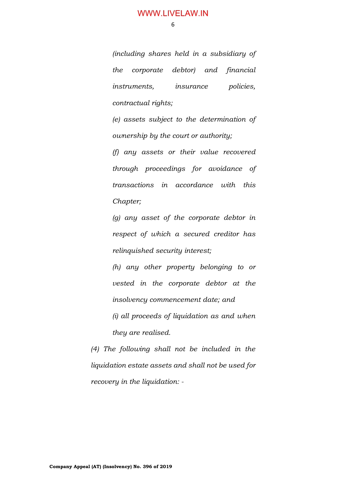6

*(including shares held in a subsidiary of the corporate debtor) and financial instruments, insurance policies, contractual rights;* 

*(e) assets subject to the determination of ownership by the court or authority;* 

*(f) any assets or their value recovered through proceedings for avoidance of transactions in accordance with this Chapter;* 

*(g) any asset of the corporate debtor in respect of which a secured creditor has relinquished security interest;* 

*(h) any other property belonging to or vested in the corporate debtor at the insolvency commencement date; and* 

*(i) all proceeds of liquidation as and when they are realised.* 

*(4) The following shall not be included in the liquidation estate assets and shall not be used for recovery in the liquidation: -*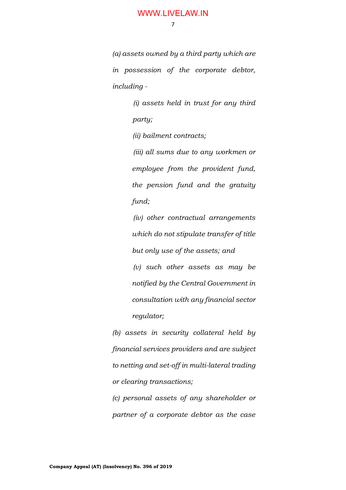7

*(a) assets owned by a third party which are in possession of the corporate debtor, including -*

> *(i) assets held in trust for any third party; (ii) bailment contracts;*

*(iii) all sums due to any workmen or employee from the provident fund, the pension fund and the gratuity fund;*

*(iv) other contractual arrangements which do not stipulate transfer of title but only use of the assets; and* 

*(v) such other assets as may be notified by the Central Government in consultation with any financial sector regulator;* 

*(b) assets in security collateral held by financial services providers and are subject to netting and set-off in multi-lateral trading or clearing transactions;* 

*(c) personal assets of any shareholder or partner of a corporate debtor as the case*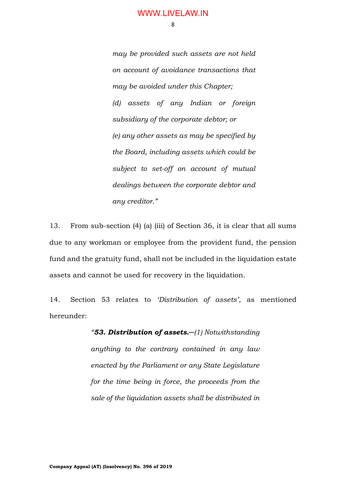8

*may be provided such assets are not held on account of avoidance transactions that may be avoided under this Chapter; (d) assets of any Indian or foreign subsidiary of the corporate debtor; or (e) any other assets as may be specified by the Board, including assets which could be subject to set-off on account of mutual dealings between the corporate debtor and any creditor."*

13. From sub-section (4) (a) (iii) of Section 36, it is clear that all sums due to any workman or employee from the provident fund, the pension fund and the gratuity fund, shall not be included in the liquidation estate assets and cannot be used for recovery in the liquidation.

14. Section 53 relates to *'Distribution of assets'*, as mentioned hereunder:

> *"53. Distribution of assets.─(1) Notwithstanding anything to the contrary contained in any law enacted by the Parliament or any State Legislature for the time being in force, the proceeds from the sale of the liquidation assets shall be distributed in*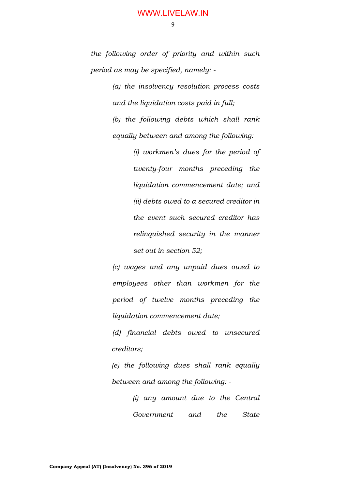*the following order of priority and within such period as may be specified, namely: -*

> *(a) the insolvency resolution process costs and the liquidation costs paid in full;*

> *(b) the following debts which shall rank equally between and among the following:*

> > *(i) workmen's dues for the period of twenty-four months preceding the liquidation commencement date; and (ii) debts owed to a secured creditor in the event such secured creditor has relinquished security in the manner set out in section 52;*

*(c) wages and any unpaid dues owed to employees other than workmen for the period of twelve months preceding the liquidation commencement date;* 

*(d) financial debts owed to unsecured creditors;* 

*(e) the following dues shall rank equally between and among the following: -*

> *(i) any amount due to the Central Government and the State*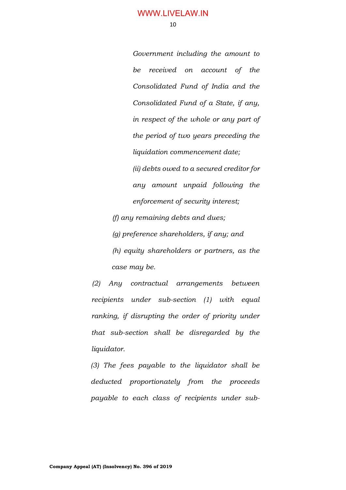*Government including the amount to be received on account of the Consolidated Fund of India and the Consolidated Fund of a State, if any, in respect of the whole or any part of the period of two years preceding the liquidation commencement date;* 

*(ii) debts owed to a secured creditor for any amount unpaid following the enforcement of security interest;* 

*(f) any remaining debts and dues;* 

*(g) preference shareholders, if any; and (h) equity shareholders or partners, as the case may be.* 

*(2) Any contractual arrangements between recipients under sub-section (1) with equal ranking, if disrupting the order of priority under that sub-section shall be disregarded by the liquidator.* 

*(3) The fees payable to the liquidator shall be deducted proportionately from the proceeds payable to each class of recipients under sub-*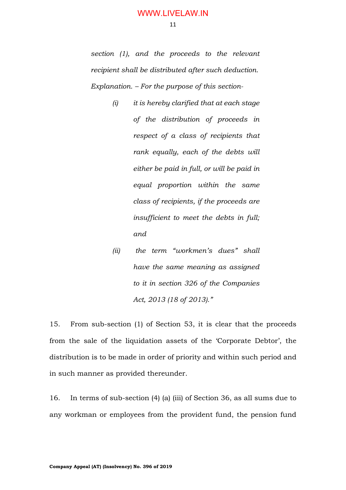11

*section (1), and the proceeds to the relevant recipient shall be distributed after such deduction. Explanation. – For the purpose of this section-*

- *(i) it is hereby clarified that at each stage of the distribution of proceeds in respect of a class of recipients that rank equally, each of the debts will either be paid in full, or will be paid in equal proportion within the same class of recipients, if the proceeds are insufficient to meet the debts in full; and*
- *(ii) the term "workmen's dues" shall have the same meaning as assigned to it in section 326 of the Companies Act, 2013 (18 of 2013)."*

15. From sub-section (1) of Section 53, it is clear that the proceeds from the sale of the liquidation assets of the 'Corporate Debtor', the distribution is to be made in order of priority and within such period and in such manner as provided thereunder.

16. In terms of sub-section (4) (a) (iii) of Section 36, as all sums due to any workman or employees from the provident fund, the pension fund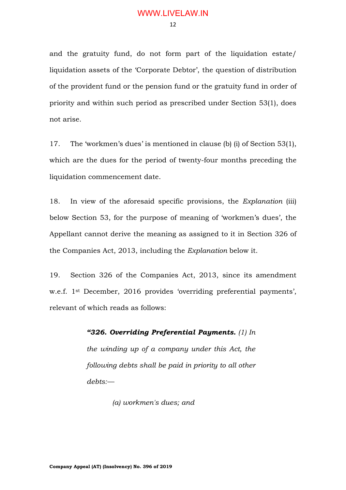and the gratuity fund, do not form part of the liquidation estate/ liquidation assets of the 'Corporate Debtor', the question of distribution of the provident fund or the pension fund or the gratuity fund in order of priority and within such period as prescribed under Section 53(1), does not arise.

17. The 'workmen's dues' is mentioned in clause (b) (i) of Section 53(1), which are the dues for the period of twenty-four months preceding the liquidation commencement date.

18. In view of the aforesaid specific provisions, the *Explanation* (iii) below Section 53, for the purpose of meaning of 'workmen's dues', the Appellant cannot derive the meaning as assigned to it in Section 326 of the Companies Act, 2013, including the *Explanation* below it.

19. Section 326 of the Companies Act, 2013, since its amendment w.e.f. 1st December, 2016 provides 'overriding preferential payments', relevant of which reads as follows:

> *"326. Overriding Preferential Payments. (1) In the winding up of a company under this Act, the following debts shall be paid in priority to all other debts:—*

> > *(a) workmen's dues; and*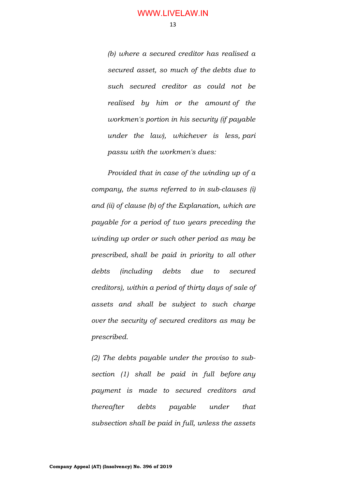*(b) where a secured creditor has realised a secured asset, so much of the debts due to such secured creditor as could not be realised by him or the amount of the workmen's portion in his security (if payable under the law), whichever is less, pari passu with the workmen's dues:*

*Provided that in case of the winding up of a company, the sums referred to in sub-clauses (i) and (ii) of clause (b) of the Explanation, which are payable for a period of two years preceding the winding up order or such other period as may be prescribed, shall be paid in priority to all other debts (including debts due to secured creditors), within a period of thirty days of sale of assets and shall be subject to such charge over the security of secured creditors as may be prescribed.*

*(2) The debts payable under the proviso to subsection (1) shall be paid in full before any payment is made to secured creditors and thereafter debts payable under that subsection shall be paid in full, unless the assets*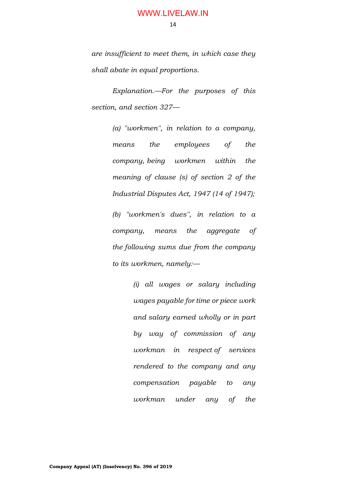14

*are insufficient to meet them, in which case they shall abate in equal proportions.*

*Explanation.—For the purposes of this section, and section 327—*

> *(a) "workmen'', in relation to a company, means the employees of the company, being workmen within the meaning of clause (s) of section 2 of the Industrial Disputes Act, 1947 (14 of 1947);*

> *(b) "workmen's dues'', in relation to a company, means the aggregate of the following sums due from the company to its workmen, namely:—*

> > *(i) all wages or salary including wages payable for time or piece work and salary earned wholly or in part by way of commission of any workman in respect of services rendered to the company and any compensation payable to any workman under any of the*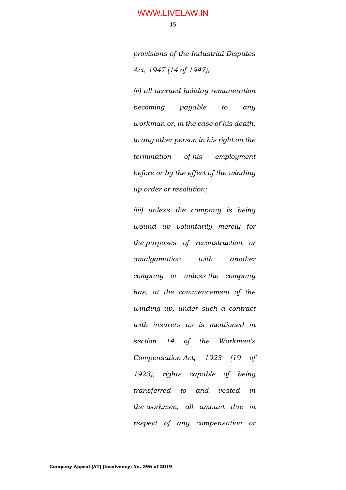*provisions of the Industrial Disputes Act, 1947 (14 of 1947);*

*(ii) all accrued holiday remuneration becoming payable to any workman or, in the case of his death, to any other person in his right on the termination of his employment before or by the effect of the winding up order or resolution;*

*(iii) unless the company is being wound up voluntarily merely for the purposes of reconstruction or amalgamation with another company or unless the company has, at the commencement of the winding up, under such a contract with insurers as is mentioned in section 14 of the Workmen's Compensation Act, 1923 (19 of 1923), rights capable of being transferred to and vested in the workmen, all amount due in respect of any compensation or*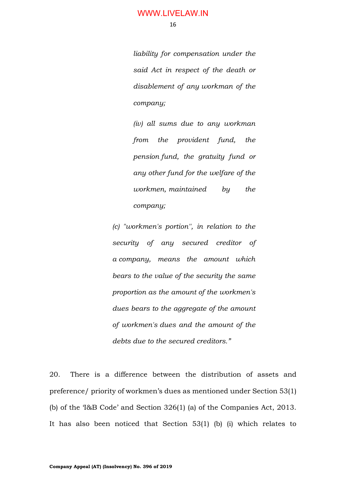*liability for compensation under the said Act in respect of the death or disablement of any workman of the company;*

*(iv) all sums due to any workman from the provident fund, the pension fund, the gratuity fund or any other fund for the welfare of the workmen, maintained by the company;*

*(c) "workmen's portion'', in relation to the security of any secured creditor of a company, means the amount which bears to the value of the security the same proportion as the amount of the workmen's dues bears to the aggregate of the amount of workmen's dues and the amount of the debts due to the secured creditors."*

20. There is a difference between the distribution of assets and preference/ priority of workmen's dues as mentioned under Section 53(1) (b) of the 'I&B Code' and Section 326(1) (a) of the Companies Act, 2013. It has also been noticed that Section 53(1) (b) (i) which relates to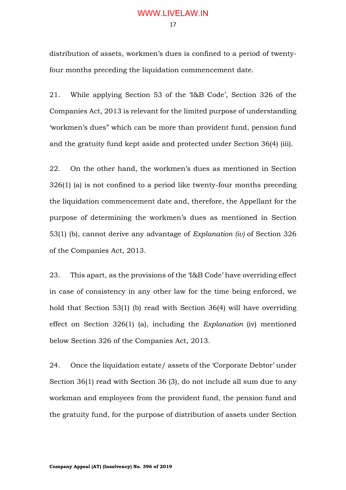distribution of assets, workmen's dues is confined to a period of twentyfour months preceding the liquidation commencement date.

21. While applying Section 53 of the 'I&B Code', Section 326 of the Companies Act, 2013 is relevant for the limited purpose of understanding 'workmen's dues" which can be more than provident fund, pension fund and the gratuity fund kept aside and protected under Section 36(4) (iii).

22. On the other hand, the workmen's dues as mentioned in Section 326(1) (a) is not confined to a period like twenty-four months preceding the liquidation commencement date and, therefore, the Appellant for the purpose of determining the workmen's dues as mentioned in Section 53(1) (b), cannot derive any advantage of *Explanation (iv)* of Section 326 of the Companies Act, 2013.

23. This apart, as the provisions of the 'I&B Code' have overriding effect in case of consistency in any other law for the time being enforced, we hold that Section 53(1) (b) read with Section 36(4) will have overriding effect on Section 326(1) (a), including the *Explanation* (iv) mentioned below Section 326 of the Companies Act, 2013.

24. Once the liquidation estate/ assets of the 'Corporate Debtor' under Section 36(1) read with Section 36 (3), do not include all sum due to any workman and employees from the provident fund, the pension fund and the gratuity fund, for the purpose of distribution of assets under Section